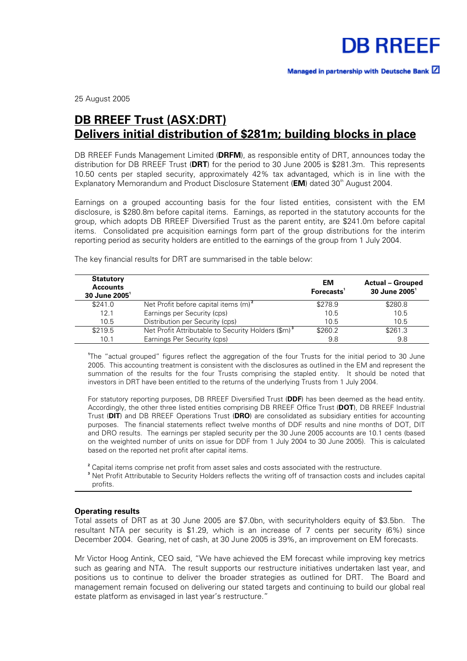

25 August 2005

# **DB RREEF Trust (ASX:DRT) Delivers initial distribution of \$281m; building blocks in place**

DB RREEF Funds Management Limited (**DRFM**), as responsible entity of DRT, announces today the distribution for DB RREEF Trust (**DRT**) for the period to 30 June 2005 is \$281.3m. This represents 10.50 cents per stapled security, approximately 42% tax advantaged, which is in line with the Explanatory Memorandum and Product Disclosure Statement (**EM**) dated 30<sup>th</sup> August 2004.

Earnings on a grouped accounting basis for the four listed entities, consistent with the EM disclosure, is \$280.8m before capital items. Earnings, as reported in the statutory accounts for the group, which adopts DB RREEF Diversified Trust as the parent entity, are \$241.0m before capital items. Consolidated pre acquisition earnings form part of the group distributions for the interim reporting period as security holders are entitled to the earnings of the group from 1 July 2004.

| <b>Statutory</b><br><b>Accounts</b><br>$30$ June $20051$ |                                                                | EM<br>Forecasts <sup>1</sup> | <b>Actual - Grouped</b><br>30 June 2005 <sup>1</sup> |
|----------------------------------------------------------|----------------------------------------------------------------|------------------------------|------------------------------------------------------|
| \$241.0                                                  | Net Profit before capital items (m) <sup>2</sup>               | \$278.9                      | \$280.8                                              |
| 12.1                                                     | Earnings per Security (cps)                                    | 10.5                         | 10.5                                                 |
| 10.5                                                     | Distribution per Security (cps)                                | 10.5                         | 10.5                                                 |
| \$219.5                                                  | Net Profit Attributable to Security Holders (\$m) <sup>3</sup> | \$260.2                      | \$261.3                                              |
| 10.1                                                     | Earnings Per Security (cps)                                    | 9.8                          | 9.8                                                  |

The key financial results for DRT are summarised in the table below:

**1** The "actual grouped" figures reflect the aggregation of the four Trusts for the initial period to 30 June 2005. This accounting treatment is consistent with the disclosures as outlined in the EM and represent the summation of the results for the four Trusts comprising the stapled entity. It should be noted that investors in DRT have been entitled to the returns of the underlying Trusts from 1 July 2004.

For statutory reporting purposes, DB RREEF Diversified Trust (**DDF**) has been deemed as the head entity. Accordingly, the other three listed entities comprising DB RREEF Office Trust (**DOT**), DB RREEF Industrial Trust (**DIT**) and DB RREEF Operations Trust (**DRO**) are consolidated as subsidiary entities for accounting purposes. The financial statements reflect twelve months of DDF results and nine months of DOT, DIT and DRO results. The earnings per stapled security per the 30 June 2005 accounts are 10.1 cents (based on the weighted number of units on issue for DDF from 1 July 2004 to 30 June 2005). This is calculated based on the reported net profit after capital items.

**2** Capital items comprise net profit from asset sales and costs associated with the restructure.

**3** Net Profit Attributable to Security Holders reflects the writing off of transaction costs and includes capital profits.

#### **Operating results**

Total assets of DRT as at 30 June 2005 are \$7.0bn, with securityholders equity of \$3.5bn. The resultant NTA per security is \$1.29, which is an increase of 7 cents per security (6%) since December 2004. Gearing, net of cash, at 30 June 2005 is 39%, an improvement on EM forecasts.

Mr Victor Hoog Antink, CEO said, "We have achieved the EM forecast while improving key metrics such as gearing and NTA. The result supports our restructure initiatives undertaken last year, and positions us to continue to deliver the broader strategies as outlined for DRT. The Board and management remain focused on delivering our stated targets and continuing to build our global real estate platform as envisaged in last year's restructure."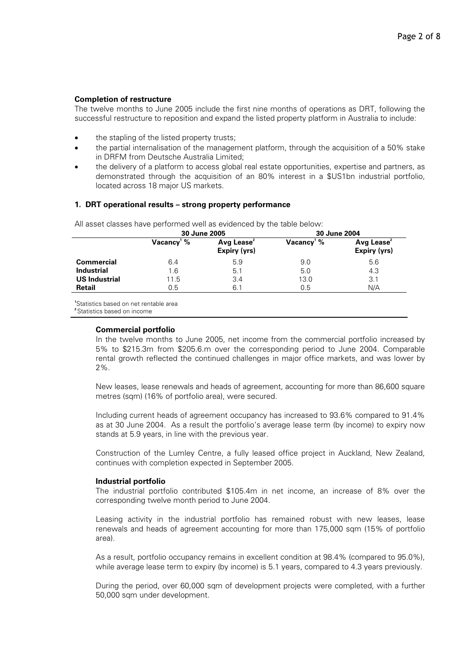#### **Completion of restructure**

The twelve months to June 2005 include the first nine months of operations as DRT, following the successful restructure to reposition and expand the listed property platform in Australia to include:

- the stapling of the listed property trusts;
- the partial internalisation of the management platform, through the acquisition of a 50% stake in DRFM from Deutsche Australia Limited;
- the delivery of a platform to access global real estate opportunities, expertise and partners, as demonstrated through the acquisition of an 80% interest in a \$US1bn industrial portfolio, located across 18 major US markets.

#### **1. DRT operational results – strong property performance**

All asset classes have performed well as evidenced by the table below:<br>2004 - 2011 08  **30 June 2005 30 June 2004** 

|                      |                        | <b>JU JUILE ZUUJ</b>                   |                           | <b>JU JUILE ZUUT</b>                          |
|----------------------|------------------------|----------------------------------------|---------------------------|-----------------------------------------------|
|                      | Vacancy <sup>1</sup> % | Avg Lease <sup>2</sup><br>Expiry (yrs) | Vacancy <sup>1</sup> $\%$ | Avg Lease <sup>2</sup><br><b>Expiry (yrs)</b> |
| <b>Commercial</b>    | 6.4                    | 5.9                                    | 9.0                       | 5.6                                           |
| <b>Industrial</b>    | 1.6                    | 5.1                                    | 5.0                       | 4.3                                           |
| <b>US Industrial</b> | 11.5                   | 3.4                                    | 13.0                      | 3.1                                           |
| <b>Retail</b>        | 0.5                    | 6.1                                    | 0.5                       | N/A                                           |

**1** Statistics based on net rentable area

**<sup>2</sup>**Statistics based on income

#### **Commercial portfolio**

In the twelve months to June 2005, net income from the commercial portfolio increased by 5% to \$215.3m from \$205.6.m over the corresponding period to June 2004. Comparable rental growth reflected the continued challenges in major office markets, and was lower by 2%.

New leases, lease renewals and heads of agreement, accounting for more than 86,600 square metres (sqm) (16% of portfolio area), were secured.

Including current heads of agreement occupancy has increased to 93.6% compared to 91.4% as at 30 June 2004. As a result the portfolio's average lease term (by income) to expiry now stands at 5.9 years, in line with the previous year.

Construction of the Lumley Centre, a fully leased office project in Auckland, New Zealand, continues with completion expected in September 2005.

#### **Industrial portfolio**

The industrial portfolio contributed \$105.4m in net income, an increase of 8% over the corresponding twelve month period to June 2004.

Leasing activity in the industrial portfolio has remained robust with new leases, lease renewals and heads of agreement accounting for more than 175,000 sqm (15% of portfolio area).

As a result, portfolio occupancy remains in excellent condition at 98.4% (compared to 95.0%), while average lease term to expiry (by income) is 5.1 years, compared to 4.3 years previously.

During the period, over 60,000 sqm of development projects were completed, with a further 50,000 sqm under development.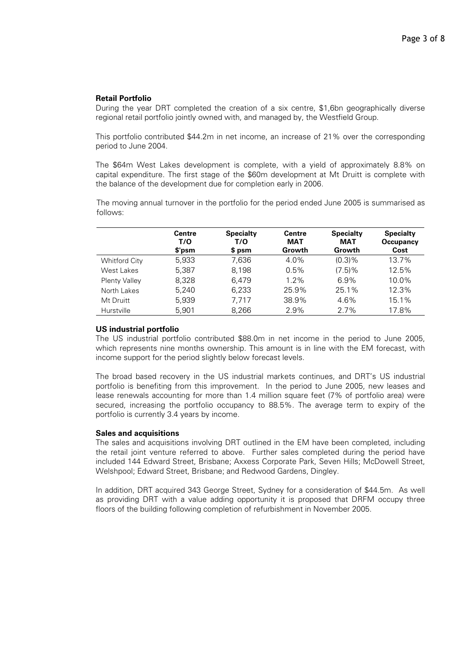#### **Retail Portfolio**

During the year DRT completed the creation of a six centre, \$1,6bn geographically diverse regional retail portfolio jointly owned with, and managed by, the Westfield Group.

This portfolio contributed \$44.2m in net income, an increase of 21% over the corresponding period to June 2004.

The \$64m West Lakes development is complete, with a yield of approximately 8.8% on capital expenditure. The first stage of the \$60m development at Mt Druitt is complete with the balance of the development due for completion early in 2006.

The moving annual turnover in the portfolio for the period ended June 2005 is summarised as follows:

|                      | <b>Centre</b><br>T/O<br>\$'psm | <b>Specialty</b><br>T/O<br>\$ psm | Centre<br><b>MAT</b><br>Growth | <b>Specialty</b><br><b>MAT</b><br>Growth | <b>Specialty</b><br>Occupancy<br>Cost |
|----------------------|--------------------------------|-----------------------------------|--------------------------------|------------------------------------------|---------------------------------------|
| <b>Whitford City</b> | 5,933                          | 7,636                             | $4.0\%$                        | $(0.3)$ %                                | 13.7%                                 |
| West Lakes           | 5,387                          | 8,198                             | 0.5%                           | (7.5)%                                   | 12.5%                                 |
| <b>Plenty Valley</b> | 8,328                          | 6,479                             | 1.2%                           | 6.9%                                     | 10.0%                                 |
| North Lakes          | 5,240                          | 6,233                             | 25.9%                          | 25.1%                                    | 12.3%                                 |
| Mt Druitt            | 5,939                          | 7.717                             | 38.9%                          | 4.6%                                     | 15.1%                                 |
| Hurstville           | 5,901                          | 8,266                             | 2.9%                           | 2.7%                                     | 17.8%                                 |

#### **US industrial portfolio**

The US industrial portfolio contributed \$88.0m in net income in the period to June 2005, which represents nine months ownership. This amount is in line with the EM forecast, with income support for the period slightly below forecast levels.

The broad based recovery in the US industrial markets continues, and DRT's US industrial portfolio is benefiting from this improvement. In the period to June 2005, new leases and lease renewals accounting for more than 1.4 million square feet (7% of portfolio area) were secured, increasing the portfolio occupancy to 88.5%. The average term to expiry of the portfolio is currently 3.4 years by income.

#### **Sales and acquisitions**

The sales and acquisitions involving DRT outlined in the EM have been completed, including the retail joint venture referred to above. Further sales completed during the period have included 144 Edward Street, Brisbane; Axxess Corporate Park, Seven Hills; McDowell Street, Welshpool; Edward Street, Brisbane; and Redwood Gardens, Dingley.

In addition, DRT acquired 343 George Street, Sydney for a consideration of \$44.5m. As well as providing DRT with a value adding opportunity it is proposed that DRFM occupy three floors of the building following completion of refurbishment in November 2005.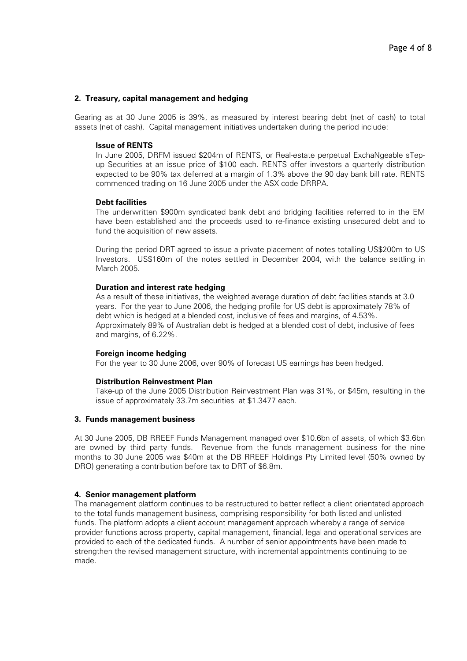#### **2. Treasury, capital management and hedging**

Gearing as at 30 June 2005 is 39%, as measured by interest bearing debt (net of cash) to total assets (net of cash). Capital management initiatives undertaken during the period include:

#### **Issue of RENTS**

In June 2005, DRFM issued \$204m of RENTS, or Real-estate perpetual ExchaNgeable sTepup Securities at an issue price of \$100 each. RENTS offer investors a quarterly distribution expected to be 90% tax deferred at a margin of 1.3% above the 90 day bank bill rate. RENTS commenced trading on 16 June 2005 under the ASX code DRRPA.

#### **Debt facilities**

The underwritten \$900m syndicated bank debt and bridging facilities referred to in the EM have been established and the proceeds used to re-finance existing unsecured debt and to fund the acquisition of new assets.

During the period DRT agreed to issue a private placement of notes totalling US\$200m to US Investors. US\$160m of the notes settled in December 2004, with the balance settling in March 2005.

#### **Duration and interest rate hedging**

As a result of these initiatives, the weighted average duration of debt facilities stands at 3.0 years. For the year to June 2006, the hedging profile for US debt is approximately 78% of debt which is hedged at a blended cost, inclusive of fees and margins, of 4.53%. Approximately 89% of Australian debt is hedged at a blended cost of debt, inclusive of fees and margins, of 6.22%.

#### **Foreign income hedging**

For the year to 30 June 2006, over 90% of forecast US earnings has been hedged.

#### **Distribution Reinvestment Plan**

Take-up of the June 2005 Distribution Reinvestment Plan was 31%, or \$45m, resulting in the issue of approximately 33.7m securities at \$1.3477 each.

#### **3. Funds management business**

At 30 June 2005, DB RREEF Funds Management managed over \$10.6bn of assets, of which \$3.6bn are owned by third party funds. Revenue from the funds management business for the nine months to 30 June 2005 was \$40m at the DB RREEF Holdings Pty Limited level (50% owned by DRO) generating a contribution before tax to DRT of \$6.8m.

## **4. Senior management platform**

The management platform continues to be restructured to better reflect a client orientated approach to the total funds management business, comprising responsibility for both listed and unlisted funds. The platform adopts a client account management approach whereby a range of service provider functions across property, capital management, financial, legal and operational services are provided to each of the dedicated funds. A number of senior appointments have been made to strengthen the revised management structure, with incremental appointments continuing to be made.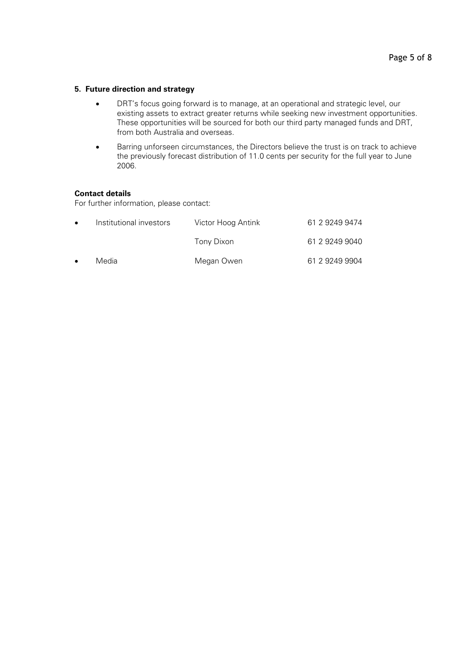## **5. Future direction and strategy**

- DRT's focus going forward is to manage, at an operational and strategic level, our existing assets to extract greater returns while seeking new investment opportunities. These opportunities will be sourced for both our third party managed funds and DRT, from both Australia and overseas.
- Barring unforseen circumstances, the Directors believe the trust is on track to achieve the previously forecast distribution of 11.0 cents per security for the full year to June 2006.

#### **Contact details**

For further information, please contact:

| $\bullet$ | Institutional investors | Victor Hoog Antink | 61 2 9249 9474 |
|-----------|-------------------------|--------------------|----------------|
|           |                         | Tony Dixon         | 61 2 9249 9040 |
| $\bullet$ | Media                   | Megan Owen         | 61 2 9249 9904 |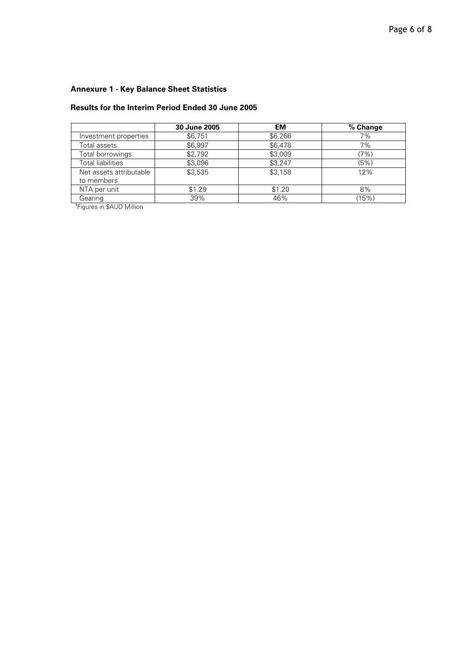# **Annexure 1 - Key Balance Sheet Statistics**

## **Results for the Interim Period Ended 30 June 2005**

|                                       | 30 June 2005 | EM      | % Change |
|---------------------------------------|--------------|---------|----------|
| Investment properties                 | \$6.751      | \$6.266 | 7%       |
| Total assets                          | \$6.997      | \$6.478 | 7%       |
| Total borrowings                      | \$2,792      | \$3,009 | (7%)     |
| Total liabilities                     | \$3,096      | \$3,247 | (5%)     |
| Net assets attributable<br>to members | \$3.535      | \$3,158 | 12%      |
| NTA per unit                          | \$1.29       | \$1.20  | 8%       |
| Gearing                               | 39%          | 46%     | (15%)    |

**<sup>1</sup>**Figures in \$AUD Million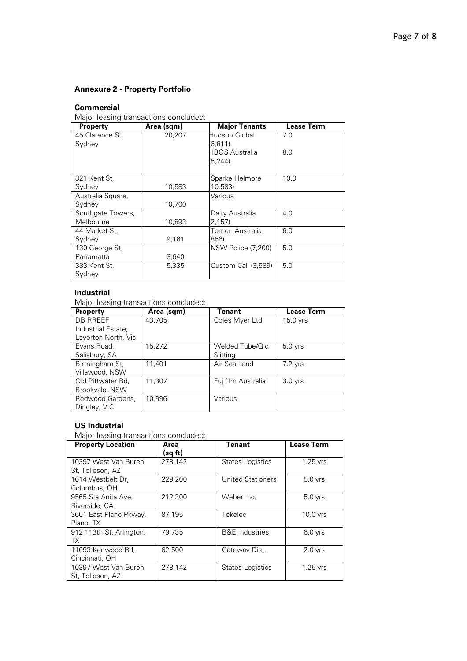## **Annexure 2 - Property Portfolio**

## **Commercial**

Major leasing transactions concluded:

| <b>Property</b>   | Area (sqm) | <b>Major Tenants</b> | <b>Lease Term</b> |
|-------------------|------------|----------------------|-------------------|
| 45 Clarence St.   | 20,207     | Hudson Global        | 7.0               |
| Sydney            |            | (6, 811)             |                   |
|                   |            | HBOS Australia       | 8.0               |
|                   |            | (5, 244)             |                   |
|                   |            |                      |                   |
| 321 Kent St,      |            | Sparke Helmore       | 10.0              |
| Sydney            | 10,583     | 10,583)              |                   |
| Australia Square, |            | Various              |                   |
| Sydney            | 10,700     |                      |                   |
| Southgate Towers, |            | Dairy Australia      | 4.0               |
| Melbourne         | 10,893     | (2, 157)             |                   |
| 44 Market St.     |            | Tomen Australia      | 6.0               |
| Sydney            | 9,161      | 856                  |                   |
| 130 George St,    |            | NSW Police (7,200)   | 5.0               |
| Parramatta        | 8,640      |                      |                   |
| 383 Kent St,      | 5,335      | Custom Call (3,589)  | 5.0               |
| Sydney            |            |                      |                   |

## **Industrial**

Major leasing transactions concluded:

| <b>Property</b>     | Area (sqm) | Tenant             | <b>Lease Term</b> |
|---------------------|------------|--------------------|-------------------|
| <b>DB RREEF</b>     | 43.705     | Coles Myer Ltd     | 15.0 yrs          |
| Industrial Estate,  |            |                    |                   |
| Laverton North, Vic |            |                    |                   |
| Evans Road,         | 15,272     | Welded Tube/Qld    | $5.0$ yrs         |
| Salisbury, SA       |            | Slitting           |                   |
| Birmingham St,      | 11.401     | Air Sea Land       | 7.2 yrs           |
| Villawood, NSW      |            |                    |                   |
| Old Pittwater Rd.   | 11.307     | Fujifilm Australia | $3.0$ yrs         |
| Brookvale, NSW      |            |                    |                   |
| Redwood Gardens,    | 10.996     | Various            |                   |
| Dingley, VIC        |            |                    |                   |

## **US Industrial**

Major leasing transactions concluded:

| <b>Property Location</b>                 | Area<br>(sq ft) | <b>Tenant</b>             | <b>Lease Term</b> |
|------------------------------------------|-----------------|---------------------------|-------------------|
| 10397 West Van Buren<br>St. Tolleson. AZ | 278,142         | <b>States Logistics</b>   | 1.25 yrs          |
| 1614 Westbelt Dr.<br>Columbus, OH        | 229.200         | <b>United Stationers</b>  | $5.0$ yrs         |
| 9565 Sta Anita Ave,<br>Riverside, CA     | 212.300         | Weber Inc.                | $5.0$ yrs         |
| 3601 East Plano Pkway,<br>Plano, TX      | 87.195          | Tekelec                   | $10.0$ yrs        |
| 912 113th St, Arlington,<br>ТX           | 79.735          | <b>B&amp;E</b> Industries | $6.0$ yrs         |
| 11093 Kenwood Rd,<br>Cincinnati, OH      | 62.500          | Gateway Dist.             | $2.0$ yrs         |
| 10397 West Van Buren<br>St. Tolleson, AZ | 278,142         | <b>States Logistics</b>   | $1.25$ yrs        |